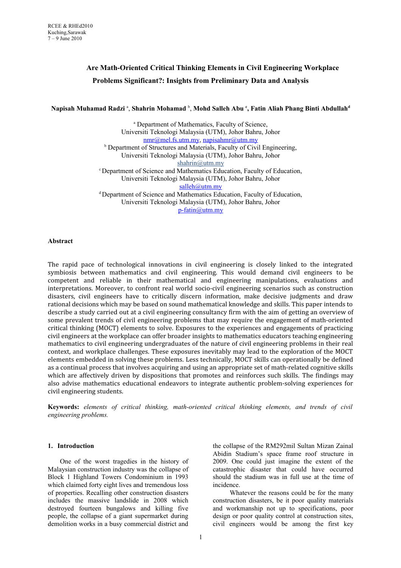# **Are Math-Oriented Critical Thinking Elements in Civil Engineering Workplace Problems Significant?: Insights from Preliminary Data and Analysis**

**Napisah Muhamad Radzi** <sup>a</sup> , **Shahrin Mohamad** <sup>b</sup> , **Mohd Salleh Abu <sup>c</sup> , Fatin Aliah Phang Binti Abdullah<sup>d</sup>**

a Department of Mathematics, Faculty of Science, Universiti Teknologi Malaysia (UTM), Johor Bahru, Johor  $n m r \omega$ mel.fs.utm.my, napisahmr $\omega$ utm.my <sup>b</sup> Department of Structures and Materials, Faculty of Civil Engineering, Universiti Teknologi Malaysia (UTM), Johor Bahru, Johor shahrin@utm.my <sup>c</sup> Department of Science and Mathematics Education, Faculty of Education, Universiti Teknologi Malaysia (UTM), Johor Bahru, Johor [salleh@utm.my](mailto:salleh@utm.my) <sup>d</sup> Department of Science and Mathematics Education, Faculty of Education, Universiti Teknologi Malaysia (UTM), Johor Bahru, Johor [p-fatin@utm.my](mailto:p-fatin@utm.my)

### **Abstract**

The rapid pace of technological innovations in civil engineering is closely linked to the integrated symbiosis between mathematics and civil engineering. This would demand civil engineers to be competent and reliable in their mathematical and engineering manipulations, evaluations and interpretations. Moreover, to confront real world socio-civil engineering scenarios such as construction disasters, civil engineers have to critically discern information, make decisive judgments and draw rational decisions which may be based on sound mathematical knowledge and skills. This paper intends to describe a study carried out at a civil engineering consultancy firm with the aim of getting an overview of some prevalent trends of civil engineering problems that may require the engagement of math-oriented critical thinking (MOCT) elements to solve. Exposures to the experiences and engagements of practicing civil engineers at the workplace can offer broader insights to mathematics educators teaching engineering mathematics to civil engineering undergraduates of the nature of civil engineering problems in their real context, and workplace challenges. These exposures inevitably may lead to the exploration of the MOCT elements embedded in solving these problems. Less technically, MOCT skills can operationally be defined as a continual process that involves acquiring and using an appropriate set of math-related cognitive skills which are affectively driven by dispositions that promotes and reinforces such skills. The findings may also advise mathematics educational endeavors to integrate authentic problem-solving experiences for civil engineering students.

**Keywords:** *elements of critical thinking, math-oriented critical thinking elements, and trends of civil engineering problems.* 

### **1. Introduction**

One of the worst tragedies in the history of Malaysian construction industry was the collapse of Block 1 Highland Towers Condominium in 1993 which claimed forty eight lives and tremendous loss of properties. Recalling other construction disasters includes the massive landslide in 2008 which destroyed fourteen bungalows and killing five people, the collapse of a giant supermarket during demolition works in a busy commercial district and the collapse of the RM292mil Sultan Mizan Zainal Abidin Stadium's space frame roof structure in 2009. One could just imagine the extent of the catastrophic disaster that could have occurred should the stadium was in full use at the time of incidence.

 Whatever the reasons could be for the many construction disasters, be it poor quality materials and workmanship not up to specifications, poor design or poor quality control at construction sites, civil engineers would be among the first key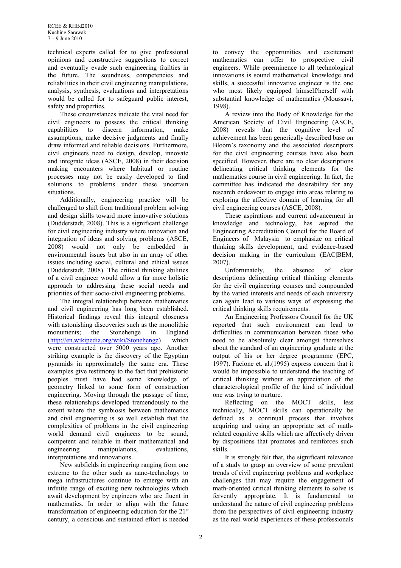technical experts called for to give professional opinions and constructive suggestions to correct and eventually evade such engineering frailties in the future. The soundness, competencies and reliabilities in their civil engineering manipulations, analysis, synthesis, evaluations and interpretations would be called for to safeguard public interest, safety and properties.

These circumstances indicate the vital need for civil engineers to possess the critical thinking capabilities to discern information, make assumptions, make decisive judgments and finally draw informed and reliable decisions. Furthermore, civil engineers need to design, develop, innovate and integrate ideas (ASCE, 2008) in their decision making encounters where habitual or routine processes may not be easily developed to find solutions to problems under these uncertain situations.

Additionally, engineering practice will be challenged to shift from traditional problem solving and design skills toward more innovative solutions (Dudderstadt, 2008). This is a significant challenge for civil engineering industry where innovation and integration of ideas and solving problems (ASCE, 2008) would not only be embedded in environmental issues but also in an array of other issues including social, cultural and ethical issues (Dudderstadt, 2008). The critical thinking abilities of a civil engineer would allow a far more holistic approach to addressing these social needs and priorities of their socio-civil engineering problems.

The integral relationship between mathematics and civil engineering has long been established. Historical findings reveal this integral closeness with astonishing discoveries such as the monolithic monuments; the Stonehenge in England [\(http://en.wikipedia.org/wiki/Stonehenge\)](http://en.wikipedia.org/wiki/Stonehenge) which were constructed over 5000 years ago. Another striking example is the discovery of the Egyptian pyramids in approximately the same era. These examples give testimony to the fact that prehistoric peoples must have had some knowledge of geometry linked to some form of construction engineering. Moving through the passage of time, these relationships developed tremendously to the extent where the symbiosis between mathematics and civil engineering is so well establish that the complexities of problems in the civil engineering world demand civil engineers to be sound, competent and reliable in their mathematical and engineering manipulations, evaluations, interpretations and innovations.

New subfields in engineering ranging from one extreme to the other such as nano-technology to mega infrastructures continue to emerge with an infinite range of exciting new technologies which await development by engineers who are fluent in mathematics. In order to align with the future transformation of engineering education for the  $21<sup>st</sup>$ century, a conscious and sustained effort is needed to convey the opportunities and excitement mathematics can offer to prospective civil engineers. While preeminence to all technological innovations is sound mathematical knowledge and skills, a successful innovative engineer is the one who most likely equipped himself/herself with substantial knowledge of mathematics (Moussavi, 1998).

A review into the Body of Knowledge for the American Society of Civil Engineering (ASCE, 2008) reveals that the cognitive level of achievement has been generically described base on Bloom's taxonomy and the associated descriptors for the civil engineering courses have also been specified. However, there are no clear descriptions delineating critical thinking elements for the mathematics course in civil engineering. In fact, the committee has indicated the desirability for any research endeavour to engage into areas relating to exploring the affective domain of learning for all civil engineering courses (ASCE, 2008).

These aspirations and current advancement in knowledge and technology, has aspired the Engineering Accreditation Council for the Board of Engineers of Malaysia to emphasize on critical thinking skills development, and evidence-based decision making in the curriculum (EAC|BEM, 2007).

Unfortunately, the absence of clear descriptions delineating critical thinking elements for the civil engineering courses and compounded by the varied interests and needs of each university can again lead to various ways of expressing the critical thinking skills requirements.

An Engineering Professors Council for the UK reported that such environment can lead to difficulties in communication between those who need to be absolutely clear amongst themselves about the standard of an engineering graduate at the output of his or her degree programme (EPC, 1997). Facione et. al.(1995) express concern that it would be impossible to understand the teaching of critical thinking without an appreciation of the characterological profile of the kind of individual one was trying to nurture.

Reflecting on the MOCT skills, less technically, MOCT skills can operationally be defined as a continual process that involves acquiring and using an appropriate set of mathrelated cognitive skills which are affectively driven by dispositions that promotes and reinforces such skills.

It is strongly felt that, the significant relevance of a study to grasp an overview of some prevalent trends of civil engineering problems and workplace challenges that may require the engagement of math-oriented critical thinking elements to solve is fervently appropriate. It is fundamental to understand the nature of civil engineering problems from the perspectives of civil engineering industry as the real world experiences of these professionals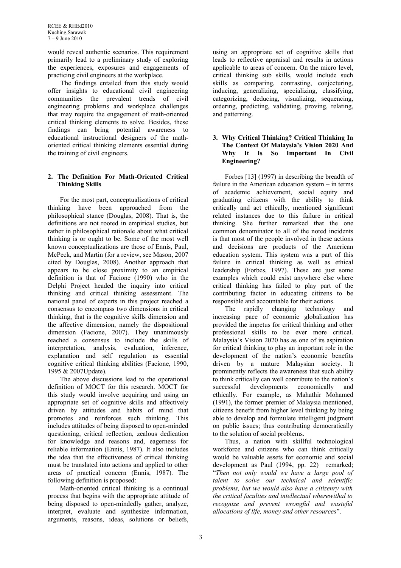would reveal authentic scenarios. This requirement primarily lead to a preliminary study of exploring the experiences, exposures and engagements of practicing civil engineers at the workplace.

 The findings entailed from this study would offer insights to educational civil engineering communities the prevalent trends of civil engineering problems and workplace challenges that may require the engagement of math-oriented critical thinking elements to solve. Besides, these findings can bring potential awareness to educational instructional designers of the mathoriented critical thinking elements essential during the training of civil engineers.

# **2. The Definition For Math-Oriented Critical Thinking Skills**

For the most part, conceptualizations of critical thinking have been approached from the philosophical stance (Douglas, 2008). That is, the definitions are not rooted in empirical studies, but rather in philosophical rationale about what critical thinking is or ought to be. Some of the most well known conceptualizations are those of Ennis, Paul, McPeck, and Martin (for a review, see Mason, 2007 cited by Douglas, 2008). Another approach that appears to be close proximity to an empirical definition is that of Facione (1990) who in the Delphi Project headed the inquiry into critical thinking and critical thinking assessment. The national panel of experts in this project reached a consensus to encompass two dimensions in critical thinking, that is the cognitive skills dimension and the affective dimension, namely the dispositional dimension (Facione, 2007). They unanimously reached a consensus to include the skills of interpretation, analysis, evaluation, inference, explanation and self regulation as essential cognitive critical thinking abilities (Facione, 1990, 1995 & 2007Update).

The above discussions lead to the operational definition of MOCT for this research. MOCT for this study would involve acquiring and using an appropriate set of cognitive skills and affectively driven by attitudes and habits of mind that promotes and reinforces such thinking. This includes attitudes of being disposed to open-minded questioning, critical reflection, zealous dedication for knowledge and reasons and, eagerness for reliable information (Ennis, 1987). It also includes the idea that the effectiveness of critical thinking must be translated into actions and applied to other areas of practical concern (Ennis, 1987). The following definition is proposed:

Math-oriented critical thinking is a continual process that begins with the appropriate attitude of being disposed to open-mindedly gather, analyze, interpret, evaluate and synthesize information, arguments, reasons, ideas, solutions or beliefs, using an appropriate set of cognitive skills that leads to reflective appraisal and results in actions applicable to areas of concern. On the micro level, critical thinking sub skills, would include such skills as comparing, contrasting, conjecturing, inducing, generalizing, specializing, classifying, categorizing, deducing, visualizing, sequencing, ordering, predicting, validating, proving, relating, and patterning.

# **3. Why Critical Thinking? Critical Thinking In The Context Of Malaysia's Vision 2020 And Why It Is So Important In Civil Engineering?**

Forbes [13] (1997) in describing the breadth of failure in the American education system – in terms of academic achievement, social equity and graduating citizens with the ability to think critically and act ethically, mentioned significant related instances due to this failure in critical thinking. She further remarked that the one common denominator to all of the noted incidents is that most of the people involved in these actions and decisions are products of the American education system. This system was a part of this failure in critical thinking as well as ethical leadership (Forbes, 1997). These are just some examples which could exist anywhere else where critical thinking has failed to play part of the contributing factor in educating citizens to be responsible and accountable for their actions.

The rapidly changing technology and increasing pace of economic globalization has provided the impetus for critical thinking and other professional skills to be ever more critical. Malaysia's Vision 2020 has as one of its aspiration for critical thinking to play an important role in the development of the nation's economic benefits driven by a mature Malaysian society. It prominently reflects the awareness that such ability to think critically can well contribute to the nation's successful developments economically and ethically. For example, as Mahathir Mohamed (1991), the former premier of Malaysia mentioned, citizens benefit from higher level thinking by being able to develop and formulate intelligent judgment on public issues; thus contributing democratically to the solution of social problems.

Thus, a nation with skillful technological workforce and citizens who can think critically would be valuable assets for economic and social development as Paul (1994, pp. 22) remarked; "*Then not only would we have a large pool of talent to solve our technical and scientific problems, but we would also have a citizenry with the critical faculties and intellectual wherewithal to recognize and prevent wrongful and wasteful allocations of life, money and other resources*".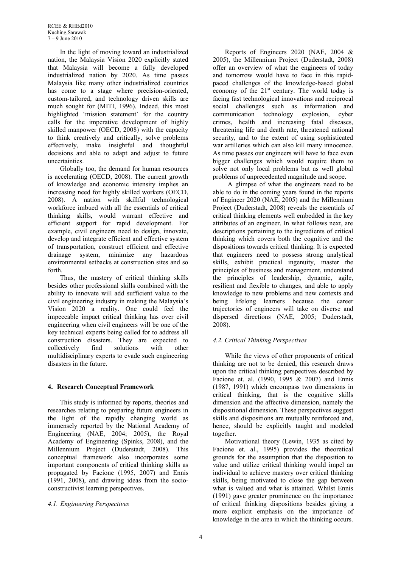In the light of moving toward an industrialized nation, the Malaysia Vision 2020 explicitly stated that Malaysia will become a fully developed industrialized nation by 2020. As time passes Malaysia like many other industrialized countries has come to a stage where precision-oriented, custom-tailored, and technology driven skills are much sought for (MITI, 1996). Indeed, this most highlighted 'mission statement' for the country calls for the imperative development of highly skilled manpower (OECD, 2008) with the capacity to think creatively and critically, solve problems effectively, make insightful and thoughtful decisions and able to adapt and adjust to future uncertainties.

Globally too, the demand for human resources is accelerating (OECD, 2008). The current growth of knowledge and economic intensity implies an increasing need for highly skilled workers (OECD, 2008). A nation with skillful technological workforce imbued with all the essentials of critical thinking skills, would warrant effective and efficient support for rapid development. For example, civil engineers need to design, innovate, develop and integrate efficient and effective system of transportation, construct efficient and effective drainage system, minimize any hazardous environmental setbacks at construction sites and so forth.

Thus, the mastery of critical thinking skills besides other professional skills combined with the ability to innovate will add sufficient value to the civil engineering industry in making the Malaysia's Vision 2020 a reality. One could feel the impeccable impact critical thinking has over civil engineering when civil engineers will be one of the key technical experts being called for to address all construction disasters. They are expected to collectively find solutions with other multidisciplinary experts to evade such engineering disasters in the future.

# **4. Research Conceptual Framework**

This study is informed by reports, theories and researches relating to preparing future engineers in the light of the rapidly changing world as immensely reported by the National Academy of Engineering (NAE, 2004; 2005), the Royal Academy of Engineering (Spinks, 2008), and the Millennium Project (Duderstadt, 2008). This conceptual framework also incorporates some important components of critical thinking skills as propagated by Facione (1995, 2007) and Ennis (1991, 2008), and drawing ideas from the socioconstructivist learning perspectives.

# *4.1. Engineering Perspectives*

Reports of Engineers 2020 (NAE, 2004 & 2005), the Millennium Project (Duderstadt, 2008) offer an overview of what the engineers of today and tomorrow would have to face in this rapidpaced challenges of the knowledge-based global economy of the  $21<sup>st</sup>$  century. The world today is facing fast technological innovations and reciprocal social challenges such as information and communication technology explosion, cyber crimes, health and increasing fatal diseases, threatening life and death rate, threatened national security, and to the extent of using sophisticated war artilleries which can also kill many innocence. As time passes our engineers will have to face even bigger challenges which would require them to solve not only local problems but as well global problems of unprecedented magnitude and scope.

A glimpse of what the engineers need to be able to do in the coming years found in the reports of Engineer 2020 (NAE, 2005) and the Millennium Project (Duderstadt, 2008) reveals the essentials of critical thinking elements well embedded in the key attributes of an engineer. In what follows next, are descriptions pertaining to the ingredients of critical thinking which covers both the cognitive and the dispositions towards critical thinking. It is expected that engineers need to possess strong analytical skills, exhibit practical ingenuity, master the principles of business and management, understand the principles of leadership, dynamic, agile, resilient and flexible to changes, and able to apply knowledge to new problems and new contexts and being lifelong learners because the career trajectories of engineers will take on diverse and dispersed directions (NAE, 2005; Duderstadt, 2008).

# *4.2. Critical Thinking Perspectives*

While the views of other proponents of critical thinking are not to be denied, this research draws upon the critical thinking perspectives described by Facione et. al. (1990, 1995 & 2007) and Ennis (1987, 1991) which encompass two dimensions in critical thinking, that is the cognitive skills dimension and the affective dimension, namely the dispositional dimension. These perspectives suggest skills and dispositions are mutually reinforced and, hence, should be explicitly taught and modeled together.

Motivational theory (Lewin, 1935 as cited by Facione et. al., 1995) provides the theoretical grounds for the assumption that the disposition to value and utilize critical thinking would impel an individual to achieve mastery over critical thinking skills, being motivated to close the gap between what is valued and what is attained. Whilst Ennis (1991) gave greater prominence on the importance of critical thinking dispositions besides giving a more explicit emphasis on the importance of knowledge in the area in which the thinking occurs.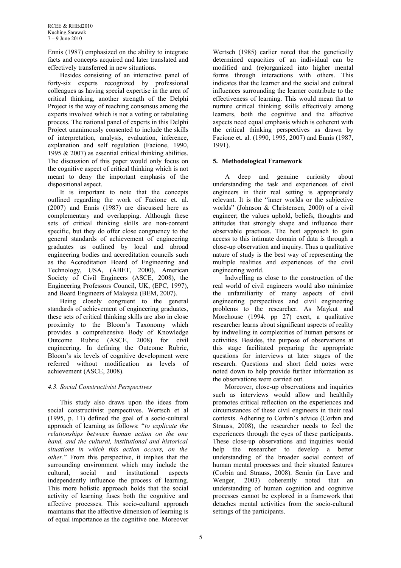Ennis (1987) emphasized on the ability to integrate facts and concepts acquired and later translated and effectively transferred in new situations.

Besides consisting of an interactive panel of forty-six experts recognized by professional colleagues as having special expertise in the area of critical thinking, another strength of the Delphi Project is the way of reaching consensus among the experts involved which is not a voting or tabulating process. The national panel of experts in this Delphi Project unanimously consented to include the skills of interpretation, analysis, evaluation, inference, explanation and self regulation (Facione, 1990, 1995 & 2007) as essential critical thinking abilities. The discussion of this paper would only focus on the cognitive aspect of critical thinking which is not meant to deny the important emphasis of the dispositional aspect.

It is important to note that the concepts outlined regarding the work of Facione et. al. (2007) and Ennis (1987) are discussed here as complementary and overlapping. Although these sets of critical thinking skills are non-content specific, but they do offer close congruency to the general standards of achievement of engineering graduates as outlined by local and abroad engineering bodies and accreditation councils such as the Accreditation Board of Engineering and Technology, USA, (ABET, 2000), American Society of Civil Engineers (ASCE, 2008), the Engineering Professors Council, UK, (EPC, 1997), and Board Engineers of Malaysia (BEM, 2007).

Being closely congruent to the general standards of achievement of engineering graduates, these sets of critical thinking skills are also in close proximity to the Bloom's Taxonomy which provides a comprehensive Body of Knowledge Outcome Rubric (ASCE, 2008) for civil engineering. In defining the Outcome Rubric, Bloom's six levels of cognitive development were referred without modification as levels of achievement (ASCE, 2008).

# *4.3. Social Constructivist Perspectives*

This study also draws upon the ideas from social constructivist perspectives. Wertsch et al (1995, p. 11) defined the goal of a socio-cultural approach of learning as follows: "*to explicate the relationships between human action on the one hand, and the cultural, institutional and historical situations in which this action occurs, on the other*." From this perspective, it implies that the surrounding environment which may include the cultural, social and institutional aspects independently influence the process of learning. This more holistic approach holds that the social activity of learning fuses both the cognitive and affective processes. This socio-cultural approach maintains that the affective dimension of learning is of equal importance as the cognitive one. Moreover Wertsch (1985) earlier noted that the genetically determined capacities of an individual can be modified and (re)organized into higher mental forms through interactions with others. This indicates that the learner and the social and cultural influences surrounding the learner contribute to the effectiveness of learning. This would mean that to nurture critical thinking skills effectively among learners, both the cognitive and the affective aspects need equal emphasis which is coherent with the critical thinking perspectives as drawn by Facione et. al. (1990, 1995, 2007) and Ennis (1987, 1991).

# **5. Methodological Framework**

A deep and genuine curiosity about understanding the task and experiences of civil engineers in their real setting is appropriately relevant. It is the "inner worlds or the subjective worlds" (Johnson & Christensen, 2000) of a civil engineer; the values uphold, beliefs, thoughts and attitudes that strongly shape and influence their observable practices. The best approach to gain access to this intimate domain of data is through a close-up observation and inquiry. Thus a qualitative nature of study is the best way of representing the multiple realities and experiences of the civil engineering world.

Indwelling as close to the construction of the real world of civil engineers would also minimize the unfamiliarity of many aspects of civil engineering perspectives and civil engineering problems to the researcher. As Maykut and Morehouse (1994. pp 27) exert, a qualitative researcher learns about significant aspects of reality by indwelling in complexities of human persons or activities. Besides, the purpose of observations at this stage facilitated preparing the appropriate questions for interviews at later stages of the research. Questions and short field notes were noted down to help provide further information as the observations were carried out.

Moreover, close-up observations and inquiries such as interviews would allow and healthily promotes critical reflection on the experiences and circumstances of these civil engineers in their real contexts. Adhering to Corbin's advice (Corbin and Strauss, 2008), the researcher needs to feel the experiences through the eyes of these participants. These close-up observations and inquiries would help the researcher to develop a better understanding of the broader social context of human mental processes and their situated features (Corbin and Strauss, 2008). Semin (in Lave and Wenger, 2003) coherently noted that an understanding of human cognition and cognitive processes cannot be explored in a framework that detaches mental activities from the socio-cultural settings of the participants.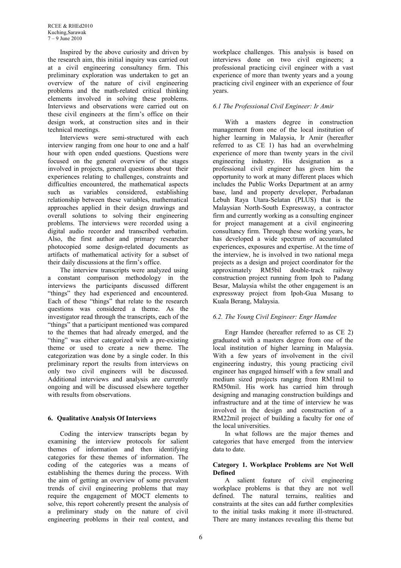Inspired by the above curiosity and driven by the research aim, this initial inquiry was carried out at a civil engineering consultancy firm. This preliminary exploration was undertaken to get an overview of the nature of civil engineering problems and the math-related critical thinking elements involved in solving these problems. Interviews and observations were carried out on these civil engineers at the firm's office on their design work, at construction sites and in their technical meetings.

Interviews were semi-structured with each interview ranging from one hour to one and a half hour with open ended questions. Questions were focused on the general overview of the stages involved in projects, general questions about their experiences relating to challenges, constraints and difficulties encountered, the mathematical aspects such as variables considered, establishing relationship between these variables, mathematical approaches applied in their design drawings and overall solutions to solving their engineering problems. The interviews were recorded using a digital audio recorder and transcribed verbatim. Also, the first author and primary researcher photocopied some design-related documents as artifacts of mathematical activity for a subset of their daily discussions at the firm's office.

The interview transcripts were analyzed using a constant comparison methodology in the interviews the participants discussed different "things" they had experienced and encountered. Each of these "things" that relate to the research questions was considered a theme. As the investigator read through the transcripts, each of the "things" that a participant mentioned was compared to the themes that had already emerged, and the "thing" was either categorized with a pre-existing theme or used to create a new theme. The categorization was done by a single coder. In this preliminary report the results from interviews on only two civil engineers will be discussed. Additional interviews and analysis are currently ongoing and will be discussed elsewhere together with results from observations.

# **6. Qualitative Analysis Of Interviews**

Coding the interview transcripts began by examining the interview protocols for salient themes of information and then identifying categories for these themes of information. The coding of the categories was a means of establishing the themes during the process. With the aim of getting an overview of some prevalent trends of civil engineering problems that may require the engagement of MOCT elements to solve, this report coherently present the analysis of a preliminary study on the nature of civil engineering problems in their real context, and

workplace challenges. This analysis is based on interviews done on two civil engineers; a professional practicing civil engineer with a vast experience of more than twenty years and a young practicing civil engineer with an experience of four years.

# *6.1 The Professional Civil Engineer: Ir Amir*

With a masters degree in construction management from one of the local institution of higher learning in Malaysia, Ir Amir (hereafter referred to as CE 1) has had an overwhelming experience of more than twenty years in the civil engineering industry. His designation as a professional civil engineer has given him the opportunity to work at many different places which includes the Public Works Department at an army base, land and property developer, Perbadanan Lebuh Raya Utara-Selatan (PLUS) that is the Malaysian North-South Expressway, a contractor firm and currently working as a consulting engineer for project management at a civil engineering consultancy firm. Through these working years, he has developed a wide spectrum of accumulated experiences, exposures and expertise. At the time of the interview, he is involved in two national mega projects as a design and project coordinator for the approximately RM5bil double-track railway construction project running from Ipoh to Padang Besar, Malaysia whilst the other engagement is an expressway project from Ipoh-Gua Musang to Kuala Berang, Malaysia.

# *6.2. The Young Civil Engineer: Engr Hamdee*

Engr Hamdee (hereafter referred to as CE 2) graduated with a masters degree from one of the local institution of higher learning in Malaysia. With a few years of involvement in the civil engineering industry, this young practicing civil engineer has engaged himself with a few small and medium sized projects ranging from RM1mil to RM50mil. His work has carried him through designing and managing construction buildings and infrastructure and at the time of interview he was involved in the design and construction of a RM22mil project of building a faculty for one of the local universities.

In what follows are the major themes and categories that have emerged from the interview data to date.

### **Category 1. Workplace Problems are Not Well Defined**

A salient feature of civil engineering workplace problems is that they are not well defined. The natural terrains, realities and constraints at the sites can add further complexities to the initial tasks making it more ill-structured. There are many instances revealing this theme but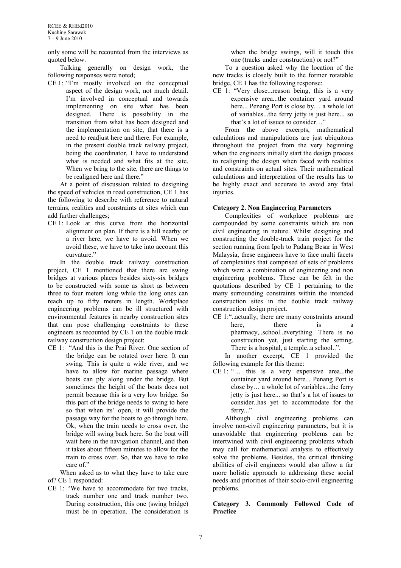only some will be recounted from the interviews as quoted below.

Talking generally on design work, the following responses were noted;

CE 1: "I'm mostly involved on the conceptual aspect of the design work, not much detail. I'm involved in conceptual and towards implementing on site what has been designed. There is possibility in the transition from what has been designed and the implementation on site, that there is a need to readjust here and there. For example, in the present double track railway project, being the coordinator, I have to understand what is needed and what fits at the site. When we bring to the site, there are things to be realigned here and there."

At a point of discussion related to designing the speed of vehicles in road construction, CE 1 has the following to describe with reference to natural terrains, realities and constraints at sites which can add further challenges;

CE 1: Look at this curve from the horizontal alignment on plan. If there is a hill nearby or a river here, we have to avoid. When we avoid these, we have to take into account this curvature.'

In the double track railway construction project, CE 1 mentioned that there are swing bridges at various places besides sixty-six bridges to be constructed with some as short as between three to four meters long while the long ones can reach up to fifty meters in length. Workplace engineering problems can be ill structured with environmental features in nearby construction sites that can pose challenging constraints to these engineers as recounted by CE 1 on the double track railway construction design project:

CE 1: "And this is the Prai River. One section of the bridge can be rotated over here. It can swing. This is quite a wide river, and we have to allow for marine passage where boats can ply along under the bridge. But sometimes the height of the boats does not permit because this is a very low bridge. So this part of the bridge needs to swing to here so that when its' open, it will provide the passage way for the boats to go through here. Ok, when the train needs to cross over, the bridge will swing back here. So the boat will wait here in the navigation channel, and then it takes about fifteen minutes to allow for the train to cross over. So, that we have to take care of"

When asked as to what they have to take care of? CE 1 responded:

CE 1: "We have to accommodate for two tracks, track number one and track number two. During construction, this one (swing bridge) must be in operation. The consideration is when the bridge swings, will it touch this one (tracks under construction) or not?"

To a question asked why the location of the new tracks is closely built to the former rotatable bridge, CE 1 has the following response:

CE 1: "Very close...reason being, this is a very expensive area...the container yard around here... Penang Port is close by… a whole lot of variables...the ferry jetty is just here... so that's a lot of issues to consider…"

From the above excerpts, mathematical calculations and manipulations are just ubiquitous throughout the project from the very beginning when the engineers initially start the design process to realigning the design when faced with realities and constraints on actual sites. Their mathematical calculations and interpretation of the results has to be highly exact and accurate to avoid any fatal injuries.

# **Category 2. Non Engineering Parameters**

Complexities of workplace problems are compounded by some constraints which are non civil engineering in nature. Whilst designing and constructing the double-track train project for the section running from Ipoh to Padang Besar in West Malaysia, these engineers have to face multi facets of complexities that comprised of sets of problems which were a combination of engineering and non engineering problems. These can be felt in the quotations described by CE 1 pertaining to the many surrounding constraints within the intended construction sites in the double track railway construction design project.

CE 1:"..actually, there are many constraints around here, there is a pharmacy,..school..everything. There is no construction yet, just starting the setting. There is a hospital, a temple..a school..".

In another excerpt, CE 1 provided the following example for this theme:

CE 1: "… this is a very expensive area...the container yard around here... Penang Port is close by… a whole lot of variables...the ferry jetty is just here... so that's a lot of issues to consider..has yet to accommodate for the ferry..."

Although civil engineering problems can involve non-civil engineering parameters, but it is unavoidable that engineering problems can be intertwined with civil engineering problems which may call for mathematical analysis to effectively solve the problems. Besides, the critical thinking abilities of civil engineers would also allow a far more holistic approach to addressing these social needs and priorities of their socio-civil engineering problems.

### **Category 3. Commonly Followed Code of Practice**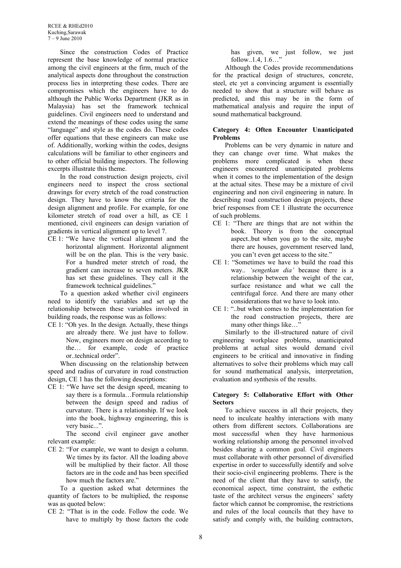Since the construction Codes of Practice represent the base knowledge of normal practice among the civil engineers at the firm, much of the analytical aspects done throughout the construction process lies in interpreting these codes. There are compromises which the engineers have to do although the Public Works Department (JKR as in Malaysia) has set the framework technical guidelines. Civil engineers need to understand and extend the meanings of these codes using the same "language" and style as the codes do. These codes offer equations that these engineers can make use of. Additionally, working within the codes, designs calculations will be familiar to other engineers and to other official building inspectors. The following excerpts illustrate this theme.

In the road construction design projects, civil engineers need to inspect the cross sectional drawings for every stretch of the road construction design. They have to know the criteria for the design alignment and profile. For example, for one kilometer stretch of road over a hill, as CE 1 mentioned, civil engineers can design variation of gradients in vertical alignment up to level 7.

CE 1: "We have the vertical alignment and the horizontal alignment. Horizontal alignment will be on the plan. This is the very basic. For a hundred meter stretch of road, the gradient can increase to seven meters. JKR has set these guidelines. They call it the framework technical guidelines."

To a question asked whether civil engineers need to identify the variables and set up the relationship between these variables involved in building roads, the response was as follows:

CE 1: "Oh yes. In the design. Actually, these things are already there. We just have to follow. Now, engineers more on design according to the… for example, code of practice or..technical order".

When discussing on the relationship between speed and radius of curvature in road construction design, CE 1 has the following descriptions:

CE 1: "We have set the design speed, meaning to say there is a formula…Formula relationship between the design speed and radius of curvature. There is a relationship. If we look into the book, highway engineering, this is very basic...".

The second civil engineer gave another relevant example:

CE 2: "For example, we want to design a column. We times by its factor. All the loading above will be multiplied by their factor. All those factors are in the code and has been specified how much the factors are."

To a question asked what determines the quantity of factors to be multiplied, the response was as quoted below:

CE 2: "That is in the code. Follow the code. We have to multiply by those factors the code has given, we just follow, we just follow..1.4, 1.6…"

Although the Codes provide recommendations for the practical design of structures, concrete, steel, etc yet a convincing argument is essentially needed to show that a structure will behave as predicted, and this may be in the form of mathematical analysis and require the input of sound mathematical background.

# **Category 4: Often Encounter Unanticipated Problems**

Problems can be very dynamic in nature and they can change over time. What makes the problems more complicated is when these engineers encountered unanticipated problems when it comes to the implementation of the design at the actual sites. These may be a mixture of civil engineering and non civil engineering in nature. In describing road construction design projects, these brief responses from CE 1 illustrate the occurrence of such problems.

- CE 1: "There are things that are not within the book. Theory is from the conceptual aspect..but when you go to the site, maybe there are houses, government reserved land, you can't even get access to the site."
- CE 1: "Sometimes we have to build the road this way.. *'sengetkan dia'* because there is a relationship between the weight of the car, surface resistance and what we call the centrifugal force. And there are many other considerations that we have to look into.
- $CE 1:$  " but when comes to the implementation for the road construction projects, there are many other things like..."

Similarly to the ill-structured nature of civil engineering workplace problems, unanticipated problems at actual sites would demand civil engineers to be critical and innovative in finding alternatives to solve their problems which may call for sound mathematical analysis, interpretation, evaluation and synthesis of the results.

# **Category 5: Collaborative Effort with Other Sectors**

To achieve success in all their projects, they need to inculcate healthy interactions with many others from different sectors. Collaborations are most successful when they have harmonious working relationship among the personnel involved besides sharing a common goal. Civil engineers must collaborate with other personnel of diversified expertise in order to successfully identify and solve their socio-civil engineering problems. There is the need of the client that they have to satisfy, the economical aspect, time constraint, the esthetic taste of the architect versus the engineers' safety factor which cannot be compromise, the restrictions and rules of the local councils that they have to satisfy and comply with, the building contractors,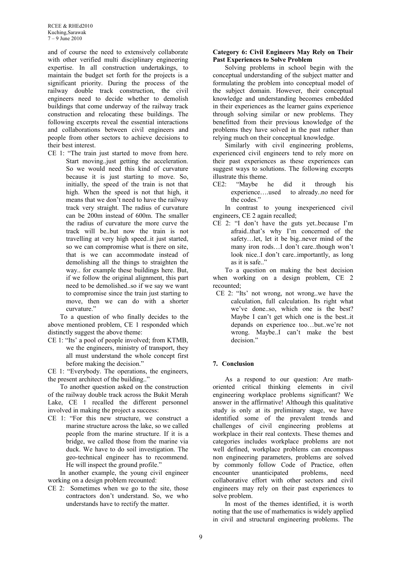and of course the need to extensively collaborate with other verified multi disciplinary engineering expertise. In all construction undertakings, to maintain the budget set forth for the projects is a significant priority. During the process of the railway double track construction, the civil engineers need to decide whether to demolish buildings that come underway of the railway track construction and relocating these buildings. The following excerpts reveal the essential interactions and collaborations between civil engineers and people from other sectors to achieve decisions to their best interest.

CE 1: "The train just started to move from here. Start moving..just getting the acceleration. So we would need this kind of curvature because it is just starting to move. So, initially, the speed of the train is not that high. When the speed is not that high, it means that we don't need to have the railway track very straight. The radius of curvature can be 200m instead of 600m. The smaller the radius of curvature the more curve the track will be..but now the train is not travelling at very high speed..it just started, so we can compromise what is there on site, that is we can accommodate instead of demolishing all the things to straighten the way.. for example these buildings here. But, if we follow the original alignment, this part need to be demolished..so if we say we want to compromise since the train just starting to move, then we can do with a shorter curvature."

To a question of who finally decides to the above mentioned problem, CE 1 responded which distinctly suggest the above theme:

CE 1: "Its' a pool of people involved; from KTMB, we the engineers, ministry of transport, they all must understand the whole concept first before making the decision."

CE 1: "Everybody. The operations, the engineers, the present architect of the building.."

To another question asked on the construction of the railway double track across the Bukit Merah Lake, CE 1 recalled the different personnel involved in making the project a success:

CE 1: "For this new structure, we construct a marine structure across the lake, so we called people from the marine structure. If it is a bridge, we called those from the marine via duck. We have to do soil investigation. The geo-technical engineer has to recommend. He will inspect the ground profile."

In another example, the young civil engineer working on a design problem recounted:

CE 2: Sometimes when we go to the site, those contractors don't understand. So, we who understands have to rectify the matter.

## **Category 6: Civil Engineers May Rely on Their Past Experiences to Solve Problem**

Solving problems in school begin with the conceptual understanding of the subject matter and formulating the problem into conceptual model of the subject domain. However, their conceptual knowledge and understanding becomes embedded in their experiences as the learner gains experience through solving similar or new problems. They benefitted from their previous knowledge of the problems they have solved in the past rather than relying much on their conceptual knowledge.

Similarly with civil engineering problems, experienced civil engineers tend to rely more on their past experiences as these experiences can suggest ways to solutions. The following excerpts illustrate this theme.

CE2: "Maybe he did it through his experience….used to already..no need for the codes."

In contrast to young inexperienced civil engineers, CE 2 again recalled;

CE 2: "I don't have the guts yet..because I'm afraid..that's why I'm concerned of the safety…let, let it be big..never mind of the many iron rods…I don't care..though won't look nice..I don't care..importantly, as long as it is safe.."

To a question on making the best decision when working on a design problem, CE 2 recounted;

 CE 2: "Its' not wrong, not wrong..we have the calculation, full calculation. Its right what we've done..so, which one is the best? Maybe I can't get which one is the best..it depands on experience too…but..we're not wrong. Maybe..I can't make the best decision."

# **7. Conclusion**

As a respond to our question: Are mathoriented critical thinking elements in civil engineering workplace problems significant? We answer in the affirmative! Although this qualitative study is only at its preliminary stage, we have identified some of the prevalent trends and challenges of civil engineering problems at workplace in their real contexts. These themes and categories includes workplace problems are not well defined, workplace problems can encompass non engineering parameters, problems are solved by commonly follow Code of Practice, often encounter unanticipated problems, need collaborative effort with other sectors and civil engineers may rely on their past experiences to solve problem.

In most of the themes identified, it is worth noting that the use of mathematics is widely applied in civil and structural engineering problems. The